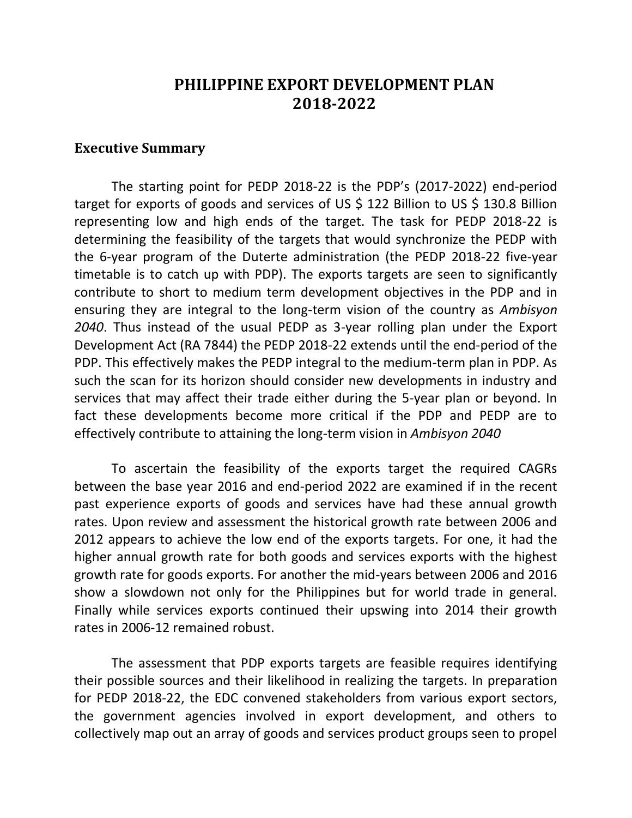## **PHILIPPINE EXPORT DEVELOPMENT PLAN 2018-2022**

## **Executive Summary**

The starting point for PEDP 2018-22 is the PDP's (2017-2022) end-period target for exports of goods and services of US \$ 122 Billion to US \$ 130.8 Billion representing low and high ends of the target. The task for PEDP 2018-22 is determining the feasibility of the targets that would synchronize the PEDP with the 6-year program of the Duterte administration (the PEDP 2018-22 five-year timetable is to catch up with PDP). The exports targets are seen to significantly contribute to short to medium term development objectives in the PDP and in ensuring they are integral to the long-term vision of the country as *Ambisyon 2040*. Thus instead of the usual PEDP as 3-year rolling plan under the Export Development Act (RA 7844) the PEDP 2018-22 extends until the end-period of the PDP. This effectively makes the PEDP integral to the medium-term plan in PDP. As such the scan for its horizon should consider new developments in industry and services that may affect their trade either during the 5-year plan or beyond. In fact these developments become more critical if the PDP and PEDP are to effectively contribute to attaining the long-term vision in *Ambisyon 2040*

To ascertain the feasibility of the exports target the required CAGRs between the base year 2016 and end-period 2022 are examined if in the recent past experience exports of goods and services have had these annual growth rates. Upon review and assessment the historical growth rate between 2006 and 2012 appears to achieve the low end of the exports targets. For one, it had the higher annual growth rate for both goods and services exports with the highest growth rate for goods exports. For another the mid-years between 2006 and 2016 show a slowdown not only for the Philippines but for world trade in general. Finally while services exports continued their upswing into 2014 their growth rates in 2006-12 remained robust.

The assessment that PDP exports targets are feasible requires identifying their possible sources and their likelihood in realizing the targets. In preparation for PEDP 2018-22, the EDC convened stakeholders from various export sectors, the government agencies involved in export development, and others to collectively map out an array of goods and services product groups seen to propel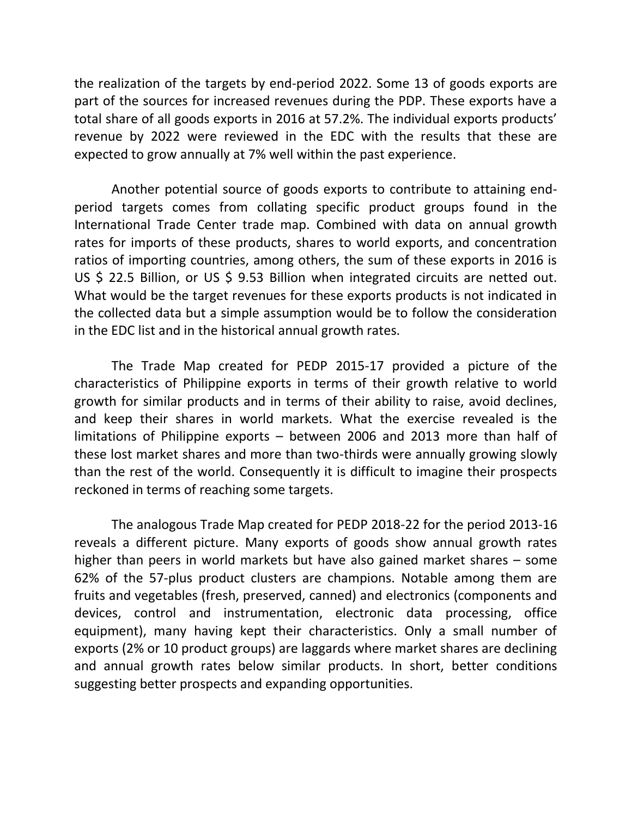the realization of the targets by end-period 2022. Some 13 of goods exports are part of the sources for increased revenues during the PDP. These exports have a total share of all goods exports in 2016 at 57.2%. The individual exports products' revenue by 2022 were reviewed in the EDC with the results that these are expected to grow annually at 7% well within the past experience.

Another potential source of goods exports to contribute to attaining endperiod targets comes from collating specific product groups found in the International Trade Center trade map. Combined with data on annual growth rates for imports of these products, shares to world exports, and concentration ratios of importing countries, among others, the sum of these exports in 2016 is US \$ 22.5 Billion, or US \$ 9.53 Billion when integrated circuits are netted out. What would be the target revenues for these exports products is not indicated in the collected data but a simple assumption would be to follow the consideration in the EDC list and in the historical annual growth rates.

The Trade Map created for PEDP 2015-17 provided a picture of the characteristics of Philippine exports in terms of their growth relative to world growth for similar products and in terms of their ability to raise, avoid declines, and keep their shares in world markets. What the exercise revealed is the limitations of Philippine exports – between 2006 and 2013 more than half of these lost market shares and more than two-thirds were annually growing slowly than the rest of the world. Consequently it is difficult to imagine their prospects reckoned in terms of reaching some targets.

The analogous Trade Map created for PEDP 2018-22 for the period 2013-16 reveals a different picture. Many exports of goods show annual growth rates higher than peers in world markets but have also gained market shares – some 62% of the 57-plus product clusters are champions. Notable among them are fruits and vegetables (fresh, preserved, canned) and electronics (components and devices, control and instrumentation, electronic data processing, office equipment), many having kept their characteristics. Only a small number of exports (2% or 10 product groups) are laggards where market shares are declining and annual growth rates below similar products. In short, better conditions suggesting better prospects and expanding opportunities.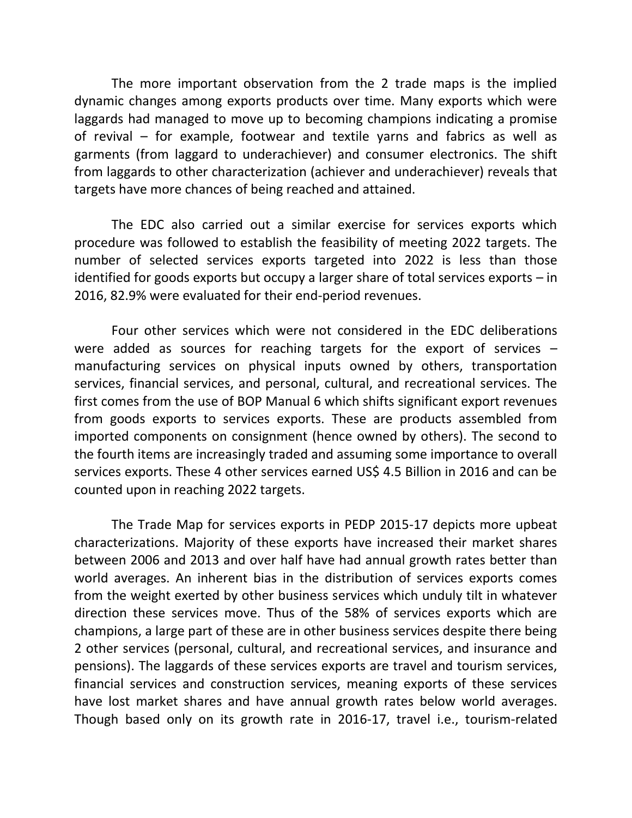The more important observation from the 2 trade maps is the implied dynamic changes among exports products over time. Many exports which were laggards had managed to move up to becoming champions indicating a promise of revival – for example, footwear and textile yarns and fabrics as well as garments (from laggard to underachiever) and consumer electronics. The shift from laggards to other characterization (achiever and underachiever) reveals that targets have more chances of being reached and attained.

The EDC also carried out a similar exercise for services exports which procedure was followed to establish the feasibility of meeting 2022 targets. The number of selected services exports targeted into 2022 is less than those identified for goods exports but occupy a larger share of total services exports – in 2016, 82.9% were evaluated for their end-period revenues.

Four other services which were not considered in the EDC deliberations were added as sources for reaching targets for the export of services – manufacturing services on physical inputs owned by others, transportation services, financial services, and personal, cultural, and recreational services. The first comes from the use of BOP Manual 6 which shifts significant export revenues from goods exports to services exports. These are products assembled from imported components on consignment (hence owned by others). The second to the fourth items are increasingly traded and assuming some importance to overall services exports. These 4 other services earned US\$ 4.5 Billion in 2016 and can be counted upon in reaching 2022 targets.

The Trade Map for services exports in PEDP 2015-17 depicts more upbeat characterizations. Majority of these exports have increased their market shares between 2006 and 2013 and over half have had annual growth rates better than world averages. An inherent bias in the distribution of services exports comes from the weight exerted by other business services which unduly tilt in whatever direction these services move. Thus of the 58% of services exports which are champions, a large part of these are in other business services despite there being 2 other services (personal, cultural, and recreational services, and insurance and pensions). The laggards of these services exports are travel and tourism services, financial services and construction services, meaning exports of these services have lost market shares and have annual growth rates below world averages. Though based only on its growth rate in 2016-17, travel i.e., tourism-related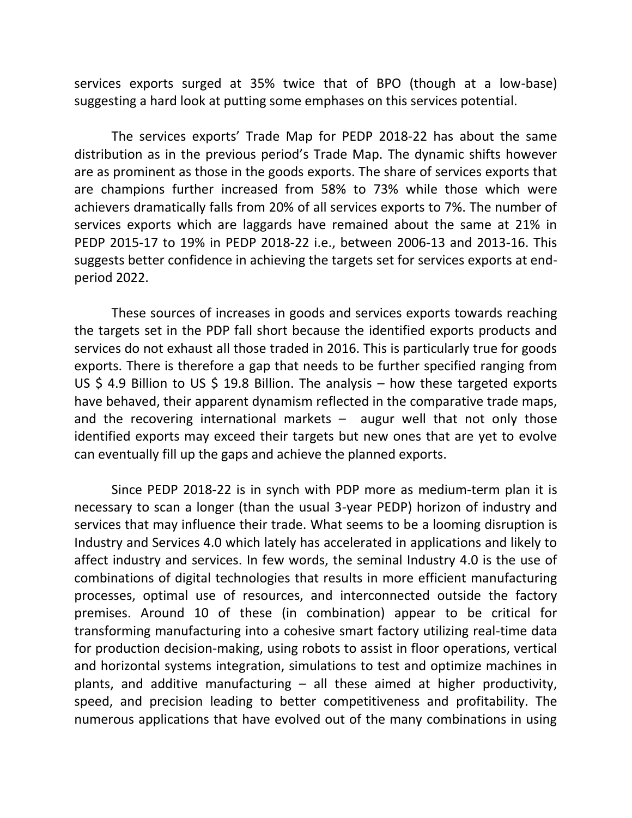services exports surged at 35% twice that of BPO (though at a low-base) suggesting a hard look at putting some emphases on this services potential.

The services exports' Trade Map for PEDP 2018-22 has about the same distribution as in the previous period's Trade Map. The dynamic shifts however are as prominent as those in the goods exports. The share of services exports that are champions further increased from 58% to 73% while those which were achievers dramatically falls from 20% of all services exports to 7%. The number of services exports which are laggards have remained about the same at 21% in PEDP 2015-17 to 19% in PEDP 2018-22 i.e., between 2006-13 and 2013-16. This suggests better confidence in achieving the targets set for services exports at endperiod 2022.

These sources of increases in goods and services exports towards reaching the targets set in the PDP fall short because the identified exports products and services do not exhaust all those traded in 2016. This is particularly true for goods exports. There is therefore a gap that needs to be further specified ranging from US \$ 4.9 Billion to US \$ 19.8 Billion. The analysis – how these targeted exports have behaved, their apparent dynamism reflected in the comparative trade maps, and the recovering international markets  $-$  augur well that not only those identified exports may exceed their targets but new ones that are yet to evolve can eventually fill up the gaps and achieve the planned exports.

Since PEDP 2018-22 is in synch with PDP more as medium-term plan it is necessary to scan a longer (than the usual 3-year PEDP) horizon of industry and services that may influence their trade. What seems to be a looming disruption is Industry and Services 4.0 which lately has accelerated in applications and likely to affect industry and services. In few words, the seminal Industry 4.0 is the use of combinations of digital technologies that results in more efficient manufacturing processes, optimal use of resources, and interconnected outside the factory premises. Around 10 of these (in combination) appear to be critical for transforming manufacturing into a cohesive smart factory utilizing real-time data for production decision-making, using robots to assist in floor operations, vertical and horizontal systems integration, simulations to test and optimize machines in plants, and additive manufacturing – all these aimed at higher productivity, speed, and precision leading to better competitiveness and profitability. The numerous applications that have evolved out of the many combinations in using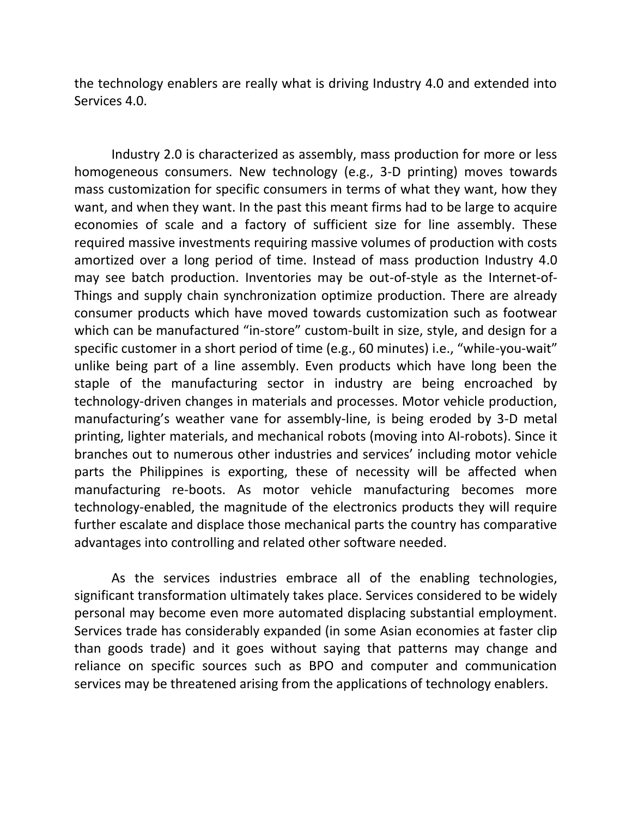the technology enablers are really what is driving Industry 4.0 and extended into Services 4.0.

Industry 2.0 is characterized as assembly, mass production for more or less homogeneous consumers. New technology (e.g., 3-D printing) moves towards mass customization for specific consumers in terms of what they want, how they want, and when they want. In the past this meant firms had to be large to acquire economies of scale and a factory of sufficient size for line assembly. These required massive investments requiring massive volumes of production with costs amortized over a long period of time. Instead of mass production Industry 4.0 may see batch production. Inventories may be out-of-style as the Internet-of-Things and supply chain synchronization optimize production. There are already consumer products which have moved towards customization such as footwear which can be manufactured "in-store" custom-built in size, style, and design for a specific customer in a short period of time (e.g., 60 minutes) i.e., "while-you-wait" unlike being part of a line assembly. Even products which have long been the staple of the manufacturing sector in industry are being encroached by technology-driven changes in materials and processes. Motor vehicle production, manufacturing's weather vane for assembly-line, is being eroded by 3-D metal printing, lighter materials, and mechanical robots (moving into AI-robots). Since it branches out to numerous other industries and services' including motor vehicle parts the Philippines is exporting, these of necessity will be affected when manufacturing re-boots. As motor vehicle manufacturing becomes more technology-enabled, the magnitude of the electronics products they will require further escalate and displace those mechanical parts the country has comparative advantages into controlling and related other software needed.

As the services industries embrace all of the enabling technologies, significant transformation ultimately takes place. Services considered to be widely personal may become even more automated displacing substantial employment. Services trade has considerably expanded (in some Asian economies at faster clip than goods trade) and it goes without saying that patterns may change and reliance on specific sources such as BPO and computer and communication services may be threatened arising from the applications of technology enablers.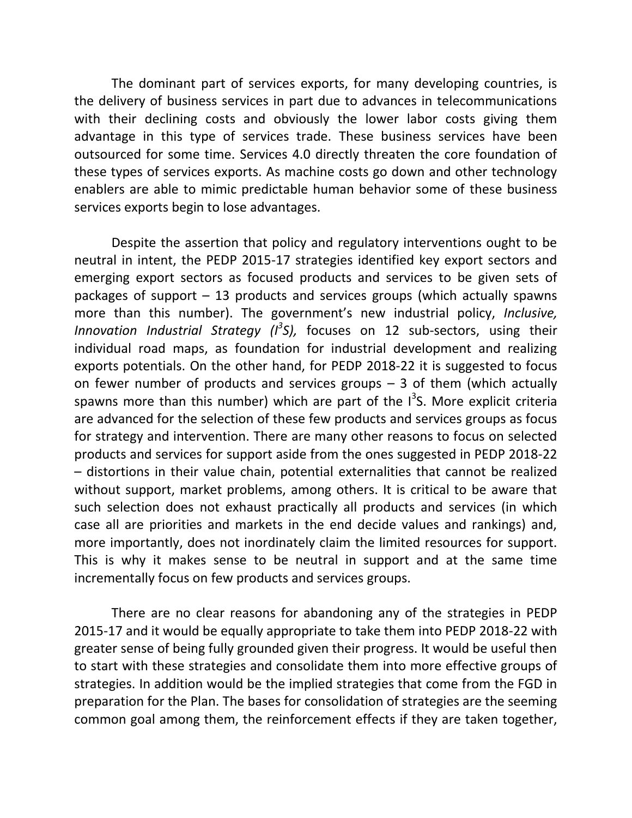The dominant part of services exports, for many developing countries, is the delivery of business services in part due to advances in telecommunications with their declining costs and obviously the lower labor costs giving them advantage in this type of services trade. These business services have been outsourced for some time. Services 4.0 directly threaten the core foundation of these types of services exports. As machine costs go down and other technology enablers are able to mimic predictable human behavior some of these business services exports begin to lose advantages.

Despite the assertion that policy and regulatory interventions ought to be neutral in intent, the PEDP 2015-17 strategies identified key export sectors and emerging export sectors as focused products and services to be given sets of packages of support – 13 products and services groups (which actually spawns more than this number). The government's new industrial policy, *Inclusive, Innovation Industrial Strategy (I<sup>3</sup>S),* focuses on 12 sub-sectors, using their individual road maps, as foundation for industrial development and realizing exports potentials. On the other hand, for PEDP 2018-22 it is suggested to focus on fewer number of products and services groups  $-$  3 of them (which actually spawns more than this number) which are part of the  $1<sup>3</sup>$ S. More explicit criteria are advanced for the selection of these few products and services groups as focus for strategy and intervention. There are many other reasons to focus on selected products and services for support aside from the ones suggested in PEDP 2018-22 – distortions in their value chain, potential externalities that cannot be realized without support, market problems, among others. It is critical to be aware that such selection does not exhaust practically all products and services (in which case all are priorities and markets in the end decide values and rankings) and, more importantly, does not inordinately claim the limited resources for support. This is why it makes sense to be neutral in support and at the same time incrementally focus on few products and services groups.

There are no clear reasons for abandoning any of the strategies in PEDP 2015-17 and it would be equally appropriate to take them into PEDP 2018-22 with greater sense of being fully grounded given their progress. It would be useful then to start with these strategies and consolidate them into more effective groups of strategies. In addition would be the implied strategies that come from the FGD in preparation for the Plan. The bases for consolidation of strategies are the seeming common goal among them, the reinforcement effects if they are taken together,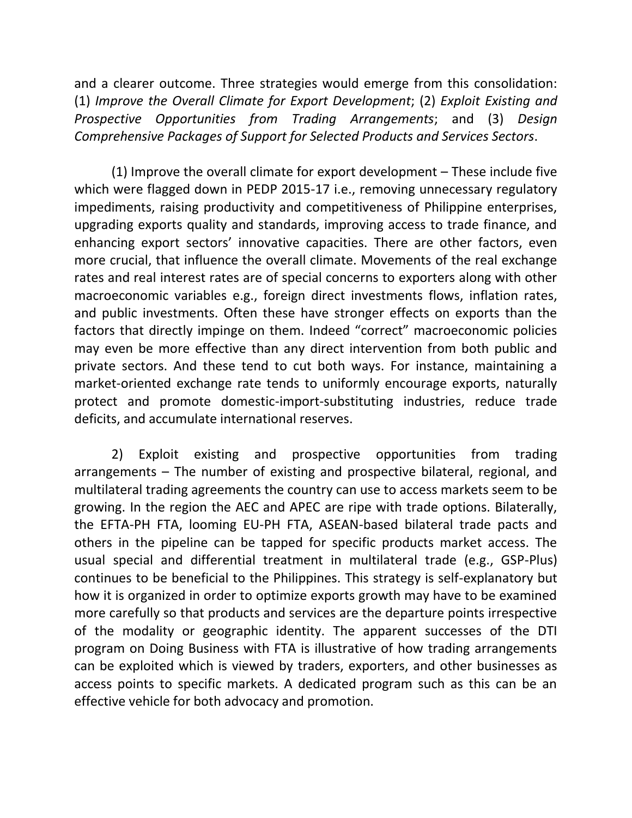and a clearer outcome. Three strategies would emerge from this consolidation: (1) *Improve the Overall Climate for Export Development*; (2) *Exploit Existing and Prospective Opportunities from Trading Arrangements*; and (3) *Design Comprehensive Packages of Support for Selected Products and Services Sectors*.

(1) Improve the overall climate for export development – These include five which were flagged down in PEDP 2015-17 i.e., removing unnecessary regulatory impediments, raising productivity and competitiveness of Philippine enterprises, upgrading exports quality and standards, improving access to trade finance, and enhancing export sectors' innovative capacities. There are other factors, even more crucial, that influence the overall climate. Movements of the real exchange rates and real interest rates are of special concerns to exporters along with other macroeconomic variables e.g., foreign direct investments flows, inflation rates, and public investments. Often these have stronger effects on exports than the factors that directly impinge on them. Indeed "correct" macroeconomic policies may even be more effective than any direct intervention from both public and private sectors. And these tend to cut both ways. For instance, maintaining a market-oriented exchange rate tends to uniformly encourage exports, naturally protect and promote domestic-import-substituting industries, reduce trade deficits, and accumulate international reserves.

2) Exploit existing and prospective opportunities from trading arrangements – The number of existing and prospective bilateral, regional, and multilateral trading agreements the country can use to access markets seem to be growing. In the region the AEC and APEC are ripe with trade options. Bilaterally, the EFTA-PH FTA, looming EU-PH FTA, ASEAN-based bilateral trade pacts and others in the pipeline can be tapped for specific products market access. The usual special and differential treatment in multilateral trade (e.g., GSP-Plus) continues to be beneficial to the Philippines. This strategy is self-explanatory but how it is organized in order to optimize exports growth may have to be examined more carefully so that products and services are the departure points irrespective of the modality or geographic identity. The apparent successes of the DTI program on Doing Business with FTA is illustrative of how trading arrangements can be exploited which is viewed by traders, exporters, and other businesses as access points to specific markets. A dedicated program such as this can be an effective vehicle for both advocacy and promotion.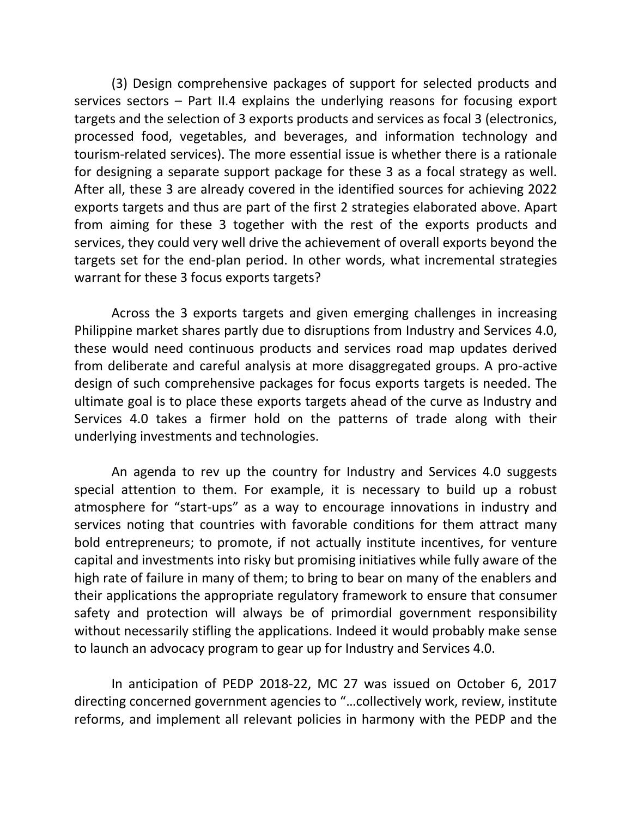(3) Design comprehensive packages of support for selected products and services sectors – Part II.4 explains the underlying reasons for focusing export targets and the selection of 3 exports products and services as focal 3 (electronics, processed food, vegetables, and beverages, and information technology and tourism-related services). The more essential issue is whether there is a rationale for designing a separate support package for these 3 as a focal strategy as well. After all, these 3 are already covered in the identified sources for achieving 2022 exports targets and thus are part of the first 2 strategies elaborated above. Apart from aiming for these 3 together with the rest of the exports products and services, they could very well drive the achievement of overall exports beyond the targets set for the end-plan period. In other words, what incremental strategies warrant for these 3 focus exports targets?

Across the 3 exports targets and given emerging challenges in increasing Philippine market shares partly due to disruptions from Industry and Services 4.0, these would need continuous products and services road map updates derived from deliberate and careful analysis at more disaggregated groups. A pro-active design of such comprehensive packages for focus exports targets is needed. The ultimate goal is to place these exports targets ahead of the curve as Industry and Services 4.0 takes a firmer hold on the patterns of trade along with their underlying investments and technologies.

An agenda to rev up the country for Industry and Services 4.0 suggests special attention to them. For example, it is necessary to build up a robust atmosphere for "start-ups" as a way to encourage innovations in industry and services noting that countries with favorable conditions for them attract many bold entrepreneurs; to promote, if not actually institute incentives, for venture capital and investments into risky but promising initiatives while fully aware of the high rate of failure in many of them; to bring to bear on many of the enablers and their applications the appropriate regulatory framework to ensure that consumer safety and protection will always be of primordial government responsibility without necessarily stifling the applications. Indeed it would probably make sense to launch an advocacy program to gear up for Industry and Services 4.0.

In anticipation of PEDP 2018-22, MC 27 was issued on October 6, 2017 directing concerned government agencies to "…collectively work, review, institute reforms, and implement all relevant policies in harmony with the PEDP and the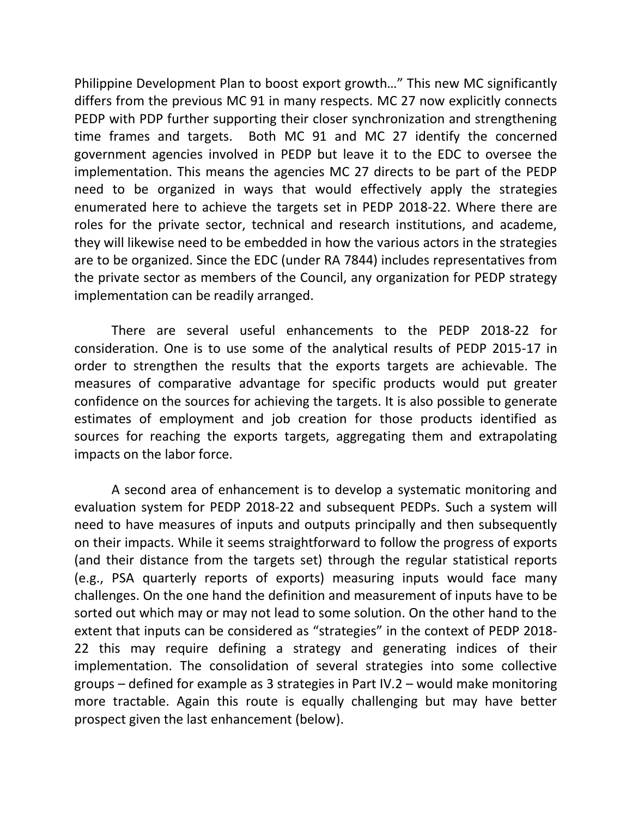Philippine Development Plan to boost export growth…" This new MC significantly differs from the previous MC 91 in many respects. MC 27 now explicitly connects PEDP with PDP further supporting their closer synchronization and strengthening time frames and targets. Both MC 91 and MC 27 identify the concerned government agencies involved in PEDP but leave it to the EDC to oversee the implementation. This means the agencies MC 27 directs to be part of the PEDP need to be organized in ways that would effectively apply the strategies enumerated here to achieve the targets set in PEDP 2018-22. Where there are roles for the private sector, technical and research institutions, and academe, they will likewise need to be embedded in how the various actors in the strategies are to be organized. Since the EDC (under RA 7844) includes representatives from the private sector as members of the Council, any organization for PEDP strategy implementation can be readily arranged.

There are several useful enhancements to the PEDP 2018-22 for consideration. One is to use some of the analytical results of PEDP 2015-17 in order to strengthen the results that the exports targets are achievable. The measures of comparative advantage for specific products would put greater confidence on the sources for achieving the targets. It is also possible to generate estimates of employment and job creation for those products identified as sources for reaching the exports targets, aggregating them and extrapolating impacts on the labor force.

A second area of enhancement is to develop a systematic monitoring and evaluation system for PEDP 2018-22 and subsequent PEDPs. Such a system will need to have measures of inputs and outputs principally and then subsequently on their impacts. While it seems straightforward to follow the progress of exports (and their distance from the targets set) through the regular statistical reports (e.g., PSA quarterly reports of exports) measuring inputs would face many challenges. On the one hand the definition and measurement of inputs have to be sorted out which may or may not lead to some solution. On the other hand to the extent that inputs can be considered as "strategies" in the context of PEDP 2018- 22 this may require defining a strategy and generating indices of their implementation. The consolidation of several strategies into some collective groups – defined for example as 3 strategies in Part IV.2 – would make monitoring more tractable. Again this route is equally challenging but may have better prospect given the last enhancement (below).